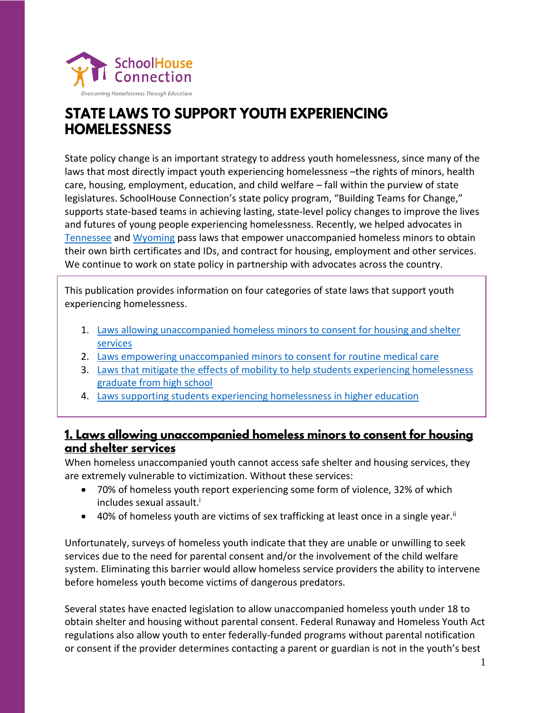

# **STATE LAWS TO SUPPORT YOUTH EXPERIENCING HOMELESSNESS**

State policy change is an important strategy to address youth homelessness, since many of the laws that most directly impact youth experiencing homelessness –the rights of minors, health care, housing, employment, education, and child welfare – fall within the purview of state legislatures. SchoolHouse Connection's state policy program, "Building Teams for Change," supports state-based teams in achieving lasting, state-level policy changes to improve the lives and futures of young people experiencing homelessness. Recently, we helped advocates in [Tennessee](http://www.capitol.tn.gov/Bills/110/Amend/HA0984.pdf) and [Wyoming](https://vimeo.com/223994598) pass laws that empower unaccompanied homeless minors to obtain their own birth certificates and IDs, and contract for housing, employment and other services. We continue to work on state policy in partnership with advocates across the country.

This publication provides information on four categories of state laws that support youth experiencing homelessness.

- 1. [Laws allowing unaccompanied homeless minors to consent for housing and shelter](#page-0-0)  [services](#page-0-0)
- 2. [Laws empowering unaccompanied minors to consent for routine medical care](#page-2-0)
- 3. Laws that [mitigate the effects of mobility to help students experiencing homelessness](#page-3-0)  [graduate from high school](#page-3-0)
- 4. [Laws supporting students experiencing homelessness in higher education](#page-5-0)

# <span id="page-0-0"></span><u>1. Laws allowing unaccompanied homeless minors to consent for housing</u> and shelter services

When homeless unaccompanied youth cannot access safe shelter and housing services, they are extremely vulnerable to victimization. Without these services:

- 70% of homeless youth report experiencing some form of violence, 32% of which includes sexual assault.<sup>i</sup>
- 40% of homeless youth are victims of sex trafficking at least once in a single year.<sup>ii</sup>

Unfortunately, surveys of homeless youth indicate that they are unable or unwilling to seek services due to the need for parental consent and/or the involvement of the child welfare system. Eliminating this barrier would allow homeless service providers the ability to intervene before homeless youth become victims of dangerous predators.

Several states have enacted legislation to allow unaccompanied homeless youth under 18 to obtain shelter and housing without parental consent. Federal Runaway and Homeless Youth Act regulations also allow youth to enter federally-funded programs without parental notification or consent if the provider determines contacting a parent or guardian is not in the youth's best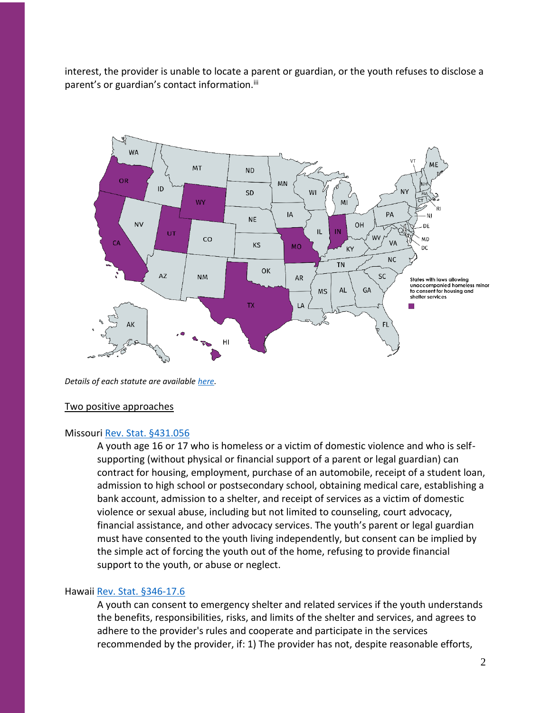interest, the provider is unable to locate a parent or guardian, or the youth refuses to disclose a parent's or guardian's contact information.<sup>iii</sup>



*Details of each statute are available [here.](https://www.schoolhouseconnection.org/state-policy-resource-unaccompanied-youths-right-to-consent/)*

#### Two positive approaches

### Missouri Rev. Stat. [§431.056](http://www.moga.mo.gov/mostatutes/stathtml/43100000561.html)

A youth age 16 or 17 who is homeless or a victim of domestic violence and who is selfsupporting (without physical or financial support of a parent or legal guardian) can contract for housing, employment, purchase of an automobile, receipt of a student loan, admission to high school or postsecondary school, obtaining medical care, establishing a bank account, admission to a shelter, and receipt of services as a victim of domestic violence or sexual abuse, including but not limited to counseling, court advocacy, financial assistance, and other advocacy services. The youth's parent or legal guardian must have consented to the youth living independently, but consent can be implied by the simple act of forcing the youth out of the home, refusing to provide financial support to the youth, or abuse or neglect.

#### Hawaii Rev. Stat. [§346-17.6](https://law.justia.com/codes/hawaii/2012/title-20/chapter-346/section-346-17.6)

A youth can consent to emergency shelter and related services if the youth understands the benefits, responsibilities, risks, and limits of the shelter and services, and agrees to adhere to the provider's rules and cooperate and participate in the services recommended by the provider, if: 1) The provider has not, despite reasonable efforts,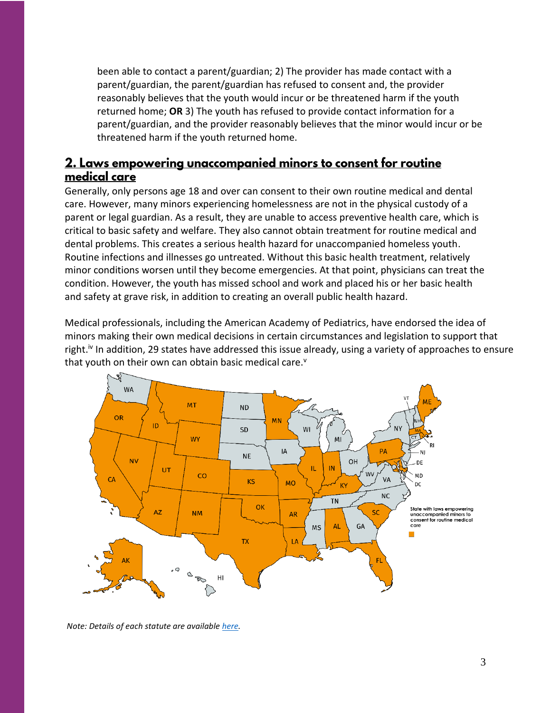been able to contact a parent/guardian; 2) The provider has made contact with a parent/guardian, the parent/guardian has refused to consent and, the provider reasonably believes that the youth would incur or be threatened harm if the youth returned home; **OR** 3) The youth has refused to provide contact information for a parent/guardian, and the provider reasonably believes that the minor would incur or be threatened harm if the youth returned home.

# <span id="page-2-0"></span>2. Laws empowering unaccompanied minors to consent for routine medical care

Generally, only persons age 18 and over can consent to their own routine medical and dental care. However, many minors experiencing homelessness are not in the physical custody of a parent or legal guardian. As a result, they are unable to access preventive health care, which is critical to basic safety and welfare. They also cannot obtain treatment for routine medical and dental problems. This creates a serious health hazard for unaccompanied homeless youth. Routine infections and illnesses go untreated. Without this basic health treatment, relatively minor conditions worsen until they become emergencies. At that point, physicians can treat the condition. However, the youth has missed school and work and placed his or her basic health and safety at grave risk, in addition to creating an overall public health hazard.

Medical professionals, including the American Academy of Pediatrics, have endorsed the idea of minors making their own medical decisions in certain circumstances and legislation to support that right.<sup>iv</sup> In addition, 29 states have addressed this issue already, using a variety of approaches to ensure that youth on their own can obtain basic medical care.<sup>v</sup>



*Note: Details of each statute are available [here.](https://www.schoolhouseconnection.org/minor-consent-to-routine-medical-care/)*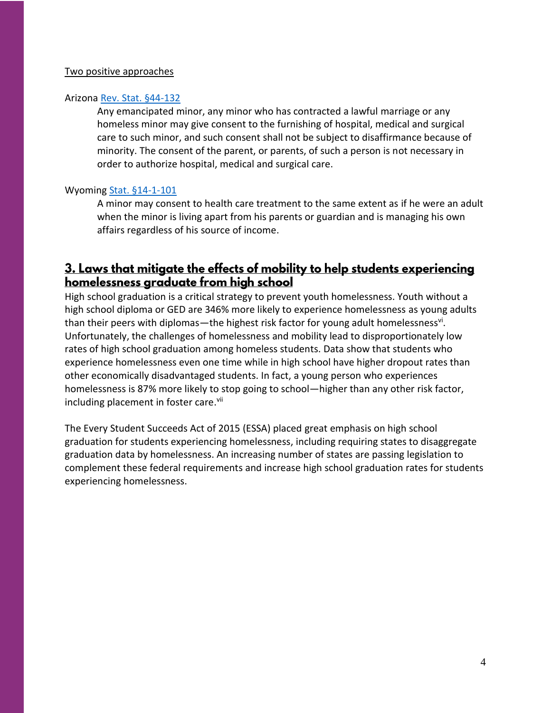### Two positive approaches

### Arizon[a Rev. Stat. §44-132](https://law.justia.com/codes/arizona/2011/title44/section44-132/)

Any emancipated minor, any minor who has contracted a lawful marriage or any homeless minor may give consent to the furnishing of hospital, medical and surgical care to such minor, and such consent shall not be subject to disaffirmance because of minority. The consent of the parent, or parents, of such a person is not necessary in order to authorize hospital, medical and surgical care.

### Wyoming [Stat. §14-1-101](https://law.justia.com/codes/wyoming/2011/title14/chapter1/section14-1-101/)

A minor may consent to health care treatment to the same extent as if he were an adult when the minor is living apart from his parents or guardian and is managing his own affairs regardless of his source of income.

# <span id="page-3-0"></span>3. Laws that mitigate the effects of mobility to help students experiencing homelessness graduate from high school

High school graduation is a critical strategy to prevent youth homelessness. Youth without a high school diploma or GED are 346% more likely to experience homelessness as young adults than their peers with diplomas—the highest risk factor for young adult homelessness<sup>vi</sup>. Unfortunately, the challenges of homelessness and mobility lead to disproportionately low rates of high school graduation among homeless students. Data show that students who experience homelessness even one time while in high school have higher dropout rates than other economically disadvantaged students. In fact, a young person who experiences homelessness is 87% more likely to stop going to school—higher than any other risk factor, including placement in foster care.<sup>vii</sup>

The Every Student Succeeds Act of 2015 (ESSA) placed great emphasis on high school graduation for students experiencing homelessness, including requiring states to disaggregate graduation data by homelessness. An increasing number of states are passing legislation to complement these federal requirements and increase high school graduation rates for students experiencing homelessness.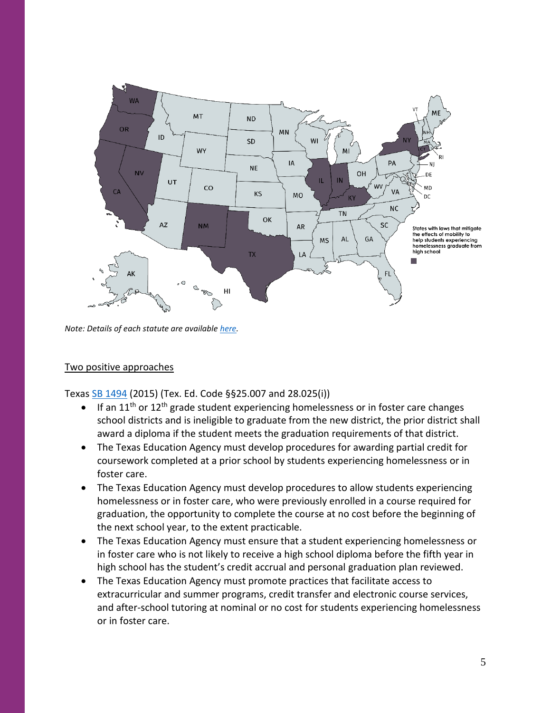

*Note: Details of each statute are availabl[e here.](https://www.schoolhouseconnection.org/state-laws-on-high-school-graduation-for-students-experiencing-homelessness/)*

### Two positive approaches

Texas [SB 1494](https://legiscan.com/TX/bill/SB1494/2015) (2015) (Tex. Ed. Code §§25.007 and 28.025(i))

- If an  $11<sup>th</sup>$  or  $12<sup>th</sup>$  grade student experiencing homelessness or in foster care changes school districts and is ineligible to graduate from the new district, the prior district shall award a diploma if the student meets the graduation requirements of that district.
- The Texas Education Agency must develop procedures for awarding partial credit for coursework completed at a prior school by students experiencing homelessness or in foster care.
- The Texas Education Agency must develop procedures to allow students experiencing homelessness or in foster care, who were previously enrolled in a course required for graduation, the opportunity to complete the course at no cost before the beginning of the next school year, to the extent practicable.
- The Texas Education Agency must ensure that a student experiencing homelessness or in foster care who is not likely to receive a high school diploma before the fifth year in high school has the student's credit accrual and personal graduation plan reviewed.
- The Texas Education Agency must promote practices that facilitate access to extracurricular and summer programs, credit transfer and electronic course services, and after-school tutoring at nominal or no cost for students experiencing homelessness or in foster care.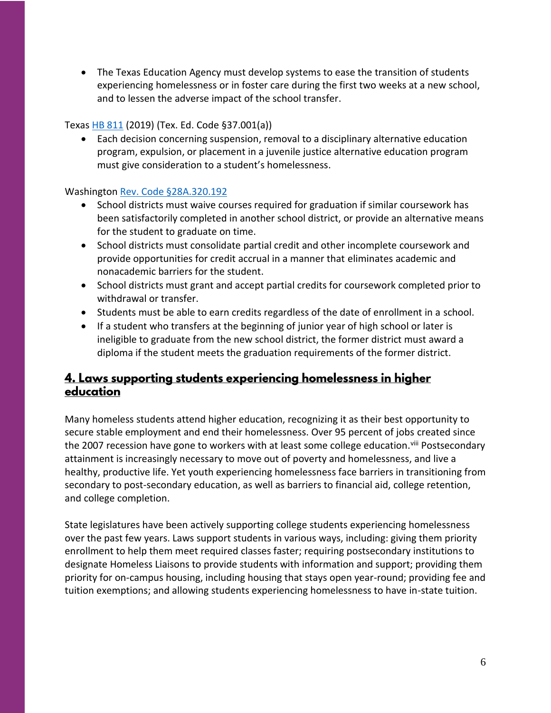• The Texas Education Agency must develop systems to ease the transition of students experiencing homelessness or in foster care during the first two weeks at a new school, and to lessen the adverse impact of the school transfer.

### Texas [HB 811](https://capitol.texas.gov/BillLookup/History.aspx?LegSess=86R&Bill=HB811) (2019) (Tex. Ed. Code §37.001(a))

• Each decision concerning suspension, removal to a disciplinary alternative education program, expulsion, or placement in a juvenile justice alternative education program must give consideration to a student's homelessness.

## Washington [Rev. Code §28A.320.192](http://app.leg.wa.gov/billsummary?BillNumber=5241&Year=2017)

- School districts must waive courses required for graduation if similar coursework has been satisfactorily completed in another school district, or provide an alternative means for the student to graduate on time.
- School districts must consolidate partial credit and other incomplete coursework and provide opportunities for credit accrual in a manner that eliminates academic and nonacademic barriers for the student.
- School districts must grant and accept partial credits for coursework completed prior to withdrawal or transfer.
- Students must be able to earn credits regardless of the date of enrollment in a school.
- If a student who transfers at the beginning of junior year of high school or later is ineligible to graduate from the new school district, the former district must award a diploma if the student meets the graduation requirements of the former district.

# <span id="page-5-0"></span>4. Laws supporting students experiencing homelessness in higher education

Many homeless students attend higher education, recognizing it as their best opportunity to secure stable employment and end their homelessness. Over 95 percent of jobs created since the 2007 recession have gone to workers with at least some college education.<sup>viii</sup> Postsecondary attainment is increasingly necessary to move out of poverty and homelessness, and live a healthy, productive life. Yet youth experiencing homelessness face barriers in transitioning from secondary to post-secondary education, as well as barriers to financial aid, college retention, and college completion.

State legislatures have been actively supporting college students experiencing homelessness over the past few years. Laws support students in various ways, including: giving them priority enrollment to help them meet required classes faster; requiring postsecondary institutions to designate Homeless Liaisons to provide students with information and support; providing them priority for on-campus housing, including housing that stays open year-round; providing fee and tuition exemptions; and allowing students experiencing homelessness to have in-state tuition.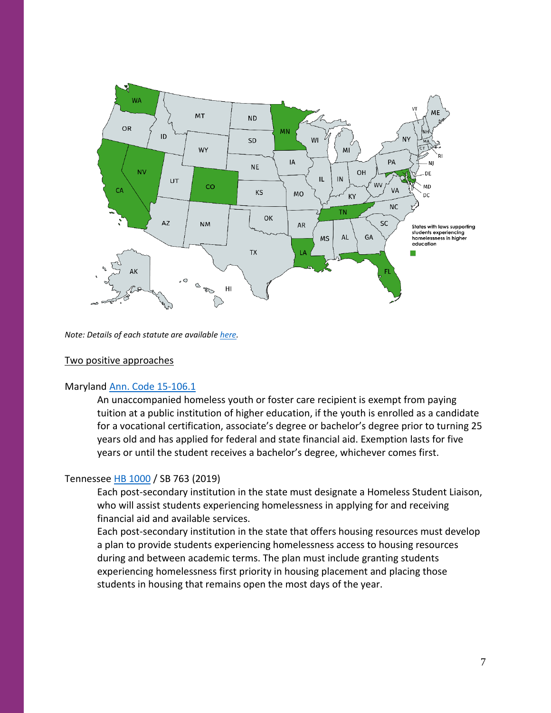

*Note: Details of each statute are availabl[e here.](https://www.schoolhouseconnection.org/state-policy-resource-higher-education-and-homelessness/)*

### Two positive approaches

### Maryland [Ann. Code 15-106.1](http://mgaleg.maryland.gov/webmga/frmStatutesText.aspx?article=ged§ion=15-106.1&ext=html&session=2017RS&tab=subject5)

An unaccompanied homeless youth or foster care recipient is exempt from paying tuition at a public institution of higher education, if the youth is enrolled as a candidate for a vocational certification, associate's degree or bachelor's degree prior to turning 25 years old and has applied for federal and state financial aid. Exemption lasts for five years or until the student receives a bachelor's degree, whichever comes first.

### Tennessee [HB 1000](https://legiscan.com/TN/text/HB1000/2019) / SB 763 (2019)

Each post-secondary institution in the state must designate a Homeless Student Liaison, who will assist students experiencing homelessness in applying for and receiving financial aid and available services.

Each post-secondary institution in the state that offers housing resources must develop a plan to provide students experiencing homelessness access to housing resources during and between academic terms. The plan must include granting students experiencing homelessness first priority in housing placement and placing those students in housing that remains open the most days of the year.